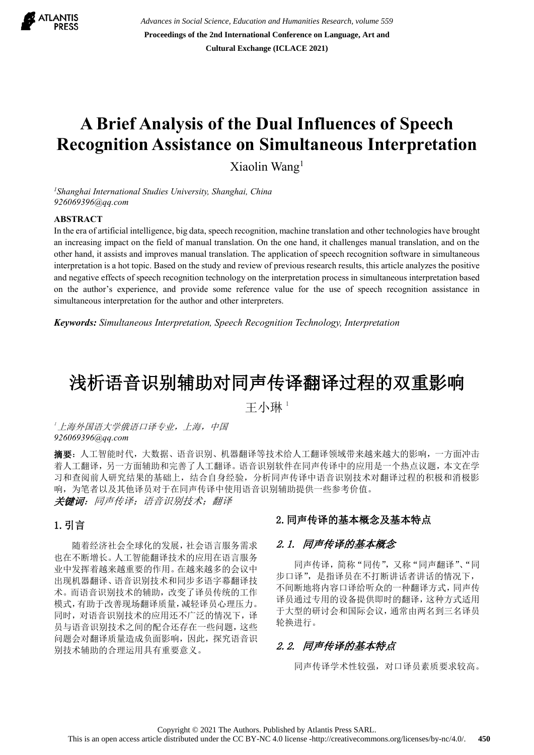

*Advances in Social Science, Education and Humanities Research, volume 559* **Proceedings of the 2nd International Conference on Language, Art and Cultural Exchange (ICLACE 2021)**

# **A Brief Analysis of the Dual Influences of Speech Recognition Assistance on Simultaneous Interpretation**

Xiaolin Wang<sup>1</sup>

*<sup>1</sup>Shanghai International Studies University, Shanghai, China 926069396@qq.com*

#### **ABSTRACT**

In the era of artificial intelligence, big data, speech recognition, machine translation and other technologies have brought an increasing impact on the field of manual translation. On the one hand, it challenges manual translation, and on the other hand, it assists and improves manual translation. The application of speech recognition software in simultaneous interpretation is a hot topic. Based on the study and review of previous research results, this article analyzes the positive and negative effects of speech recognition technology on the interpretation process in simultaneous interpretation based on the author's experience, and provide some reference value for the use of speech recognition assistance in simultaneous interpretation for the author and other interpreters.

*Keywords: Simultaneous Interpretation, Speech Recognition Technology, Interpretation*

# 浅析语音识别辅助对同声传译翻译过程的双重影响

干小琳1

1 上海外国语大学俄语口译专业,上海,中国 *[926069396@qq.com](mailto:926069396@qq.com)*

摘要:人工智能时代,大数据、语音识别、机器翻译等技术给人工翻译领域带来越来越大的影响,一方面冲击 着人工翻译,另一方面辅助和完善了人工翻译。语音识别软件在同声传译中的应用是一个热点议题,本文在学 习和查阅前人研究结果的基础上,结合自身经验,分析同声传译中语音识别技术对翻译过程的积极和消极影 响,为笔者以及其他译员对于在同声传译中使用语音识别辅助提供一些参考价值。 关键词:同声传译;语音识别技术;翻译

## 1.引言

随着经济社会全球化的发展,社会语言服务需求 也在不断增长。人工智能翻译技术的应用在语言服务 业中发挥着越来越重要的作用。在越来越多的会议中 出现机器翻译、语音识别技术和同步多语字幕翻译技 术。而语音识别技术的辅助,改变了译员传统的工作 模式,有助于改善现场翻译质量,减轻译员心理压力。 同时,对语音识别技术的应用还不广泛的情况下,译 员与语音识别技术之间的配合还存在一些问题,这些 问题会对翻译质量造成负面影响,因此,探究语音识 别技术辅助的合理运用具有重要意义。

### 2.同声传译的基本概念及基本特点

## 2.1. 同声传译的基本概念

同声传译,简称"同传",又称"同声翻译"、"同 步口译",是指译员在不打断讲话者讲话的情况下, 不间断地将内容口译给听众的一种翻译方式,同声传 译员通过专用的设备提供即时的翻译,这种方式适用 于大型的研讨会和国际会议,通常由两名到三名译员 轮换进行。

# 2.2. 同声传译的基本特点

同声传译学术性较强,对口译员素质要求较高。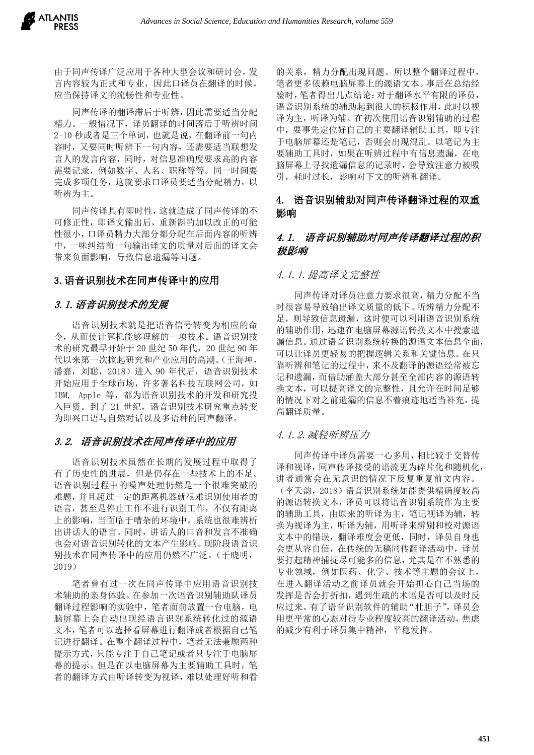由于同声传译广泛应用于各种大型会议和研讨会,发 言内容较为正式和专业,因此口译员在翻译的时候, 应当保持译文的流畅性和专业性。

同声传译的翻译滞后于听辨,因此需要适当分配 精力。一般情况下,译员翻译的时间落后于听辨时间 2-10 秒或者是三个单词,也就是说,在翻译前一句内 容时,又要同时听辨下一句内容,还需要适当联想发 言人的发言内容,同时,对信息准确度要求高的内容 需要记录,例如数字、人名、职称等等。同一时间要 完成多项任务,这就要求口译员要适当分配精力,以 听辨为主。

同声传译具有即时性,这就造成了同声传译的不 可修正性,即译文输出后,重新斟酌加以改正的可能 性很小,口译员精力大部分都分配在后面内容的听辨 中,一味纠结前一句输出译文的质量对后面的译文会 带来负面影响,导致信息遗漏等问题。

## 3.语音识别技术在同声传译中的应用

## 3.1.语音识别技术的发展

语音识别技术就是把语音信号转变为相应的命 令,从而使计算机能够理解的一项技术。语音识别技 术的研究最早开始于 20 世纪 50 年代,20 世纪 90 年 代以来第一次掀起研究和产业应用的高潮。(王海坤, 潘嘉,刘聪,2018)进入 90 年代后,语音识别技术 开始应用于全球市场,许多著名科技互联网公司,如 IBM, Apple 等,都为语音识别技术的开发和研究投 入巨资。到了 21 世纪,语音识别技术研究重点转变 为即兴口语与自然对话以及多语种的同声翻译。

## 3.2. 语音识别技术在同声传译中的应用

语音识别技术虽然在长期的发展过程中取得了 有了历史性的进展,但是仍存在一些技术上的不足。 语音识别过程中的噪声处理仍然是一个很难突破的 难题,并且超过一定的距离机器就很难识别使用者的 语言,甚至是停止工作不进行识别工作,不仅有距离 上的影响,当面临于嘈杂的环境中,系统也很难辨析 出讲话人的语言。同时,讲话人的口音和发言不准确 也会对语音识别转化的文本产生影响。现阶段语音识 别技术在同声传译中的应用仍然不广泛。(于晓明, 2019)

笔者曾有过一次在同声传译中应用语音识别技 术辅助的亲身体验。在参加一次语音识别辅助队译员 翻译过程影响的实验中,笔者面前放置一台电脑,电 脑屏幕上会自动出现经语言识别系统转化过的源语 文本,笔者可以选择看屏幕进行翻译或者根据自己笔 记进行翻译。在整个翻译过程中,笔者无法兼顾两种 提示方式,只能专注于自己笔记或者只专注于电脑屏 幕的提示。但是在以电脑屏幕为主要辅助工具时,笔 者的翻译方式由听译转变为视译,难以处理好听和看

的关系,精力分配出现问题。所以整个翻译过程中, 笔者更多依赖电脑屏幕上的源语文本。事后在总结经 验时,笔者得出几点结论:对于翻译水平有限的译员, 语音识别系统的辅助起到很大的积极作用,此时以视 译为主,听译为辅。在初次使用语音识别辅助的过程 中,要事先定位好自己的主要翻译辅助工具,即专注 于电脑屏幕还是笔记,否则会出现混乱。以笔记为主 要辅助工具时,如果在听辨过程中有信息遗漏,在电 脑屏幕上寻找遗漏信息的记录时,会导致注意力被吸 引,耗时过长,影响对下文的听辨和翻译。

# 4. 语音识别辅助对同声传译翻译过程的双重 影响

# 4.1. 语音识别辅助对同声传译翻译过程的积 极影响

### 4.1.1.提高译文完整性

同声传译对译员注意力要求很高,精力分配不当 时很容易导致输出译文质量的低下。听辨精力分配不 足,则导致信息遗漏,这时便可以利用语音识别系统 的辅助作用,迅速在电脑屏幕源语转换文本中搜索遗 漏信息。通过语音识别系统转换的源语文本信息全面, 可以让译员更轻易的把握逻辑关系和关键信息。在只 靠听辨和笔记的过程中,来不及翻译的源语经常被忘 记和遗漏,而借助涵盖大部分甚至全部内容的源语转 换文本,可以提高译文的完整性,且允许在时间足够 的情况下对之前遗漏的信息不着痕迹地适当补充,提 高翻译质量。

## 4.1.2.减轻听辨压力

同声传译中译员需要一心多用,相比较于交替传 译和视译,同声传译接受的语流更为碎片化和随机化, 讲者通常会在无意识的情况下反复重复前文内容。 (李天韵,2018)语音识别系统如能提供精确度较高 的源语转换文本,译员可以将语音识别系统作为主要 的辅助工具,由原来的听译为主,笔记视译为辅,转 换为视译为主,听译为辅,用听译来辨别和校对源语 文本中的错误,翻译难度会更低,同时,译员自身也 会更从容自信,在传统的无稿同传翻译活动中,译员 要打起精神捕捉尽可能多的信息,尤其是在不熟悉的 专业领域,例如医药、化学、技术等主题的会议上, 在进入翻译活动之前译员就会开始担心自己当场的 发挥是否会打折扣,遇到生疏的术语是否可以及时反 应过来。有了语音识别软件的辅助"壮胆子",译员会 用更平常的心态对待专业程度较高的翻译活动,焦虑 的减少有利于译员集中精神,平稳发挥。